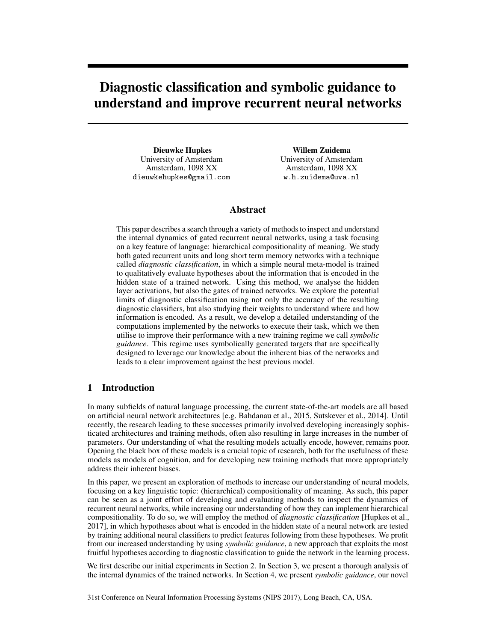# Diagnostic classification and symbolic guidance to understand and improve recurrent neural networks

Dieuwke Hupkes University of Amsterdam Amsterdam, 1098 XX dieuwkehupkes@gmail.com

Willem Zuidema University of Amsterdam Amsterdam, 1098 XX w.h.zuidema@uva.nl

# Abstract

This paper describes a search through a variety of methods to inspect and understand the internal dynamics of gated recurrent neural networks, using a task focusing on a key feature of language: hierarchical compositionality of meaning. We study both gated recurrent units and long short term memory networks with a technique called *diagnostic classification*, in which a simple neural meta-model is trained to qualitatively evaluate hypotheses about the information that is encoded in the hidden state of a trained network. Using this method, we analyse the hidden layer activations, but also the gates of trained networks. We explore the potential limits of diagnostic classification using not only the accuracy of the resulting diagnostic classifiers, but also studying their weights to understand where and how information is encoded. As a result, we develop a detailed understanding of the computations implemented by the networks to execute their task, which we then utilise to improve their performance with a new training regime we call *symbolic guidance*. This regime uses symbolically generated targets that are specifically designed to leverage our knowledge about the inherent bias of the networks and leads to a clear improvement against the best previous model.

# 1 Introduction

In many subfields of natural language processing, the current state-of-the-art models are all based on artificial neural network architectures [e.g. [Bahdanau et al., 2015,](#page-8-0) [Sutskever et al., 2014\]](#page-8-1). Until recently, the research leading to these successes primarily involved developing increasingly sophisticated architectures and training methods, often also resulting in large increases in the number of parameters. Our understanding of what the resulting models actually encode, however, remains poor. Opening the black box of these models is a crucial topic of research, both for the usefulness of these models as models of cognition, and for developing new training methods that more appropriately address their inherent biases.

In this paper, we present an exploration of methods to increase our understanding of neural models, focusing on a key linguistic topic: (hierarchical) compositionality of meaning. As such, this paper can be seen as a joint effort of developing and evaluating methods to inspect the dynamics of recurrent neural networks, while increasing our understanding of how they can implement hierarchical compositionality. To do so, we will employ the method of *diagnostic classification* [\[Hupkes et al.,](#page-8-2) [2017\]](#page-8-2), in which hypotheses about what is encoded in the hidden state of a neural network are tested by training additional neural classifiers to predict features following from these hypotheses. We profit from our increased understanding by using *symbolic guidance*, a new approach that exploits the most fruitful hypotheses according to diagnostic classification to guide the network in the learning process.

We first describe our initial experiments in Section [2.](#page-1-0) In Section 3, we present a thorough analysis of the internal dynamics of the trained networks. In Section 4, we present *symbolic guidance*, our novel

31st Conference on Neural Information Processing Systems (NIPS 2017), Long Beach, CA, USA.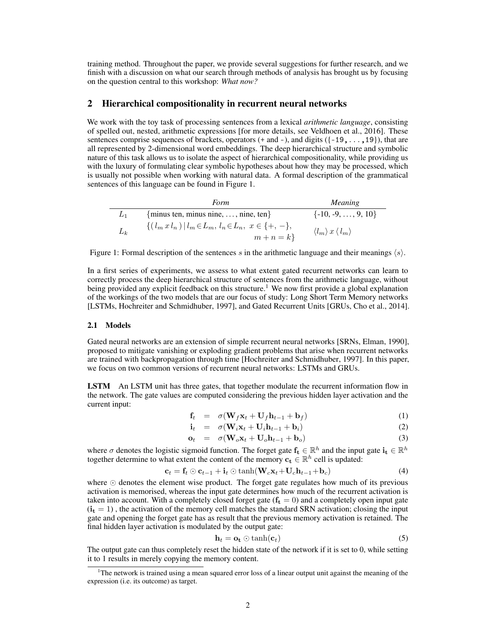training method. Throughout the paper, we provide several suggestions for further research, and we finish with a discussion on what our search through methods of analysis has brought us by focusing on the question central to this workshop: *What now?*

## <span id="page-1-0"></span>2 Hierarchical compositionality in recurrent neural networks

We work with the toy task of processing sentences from a lexical *arithmetic language*, consisting of spelled out, nested, arithmetic expressions [for more details, see [Veldhoen et al., 2016\]](#page-8-3). These sentences comprise sequences of brackets, operators  $(+ \text{ and } -)$ , and digits  $([-19, \ldots, 19])$ , that are all represented by 2-dimensional word embeddings. The deep hierarchical structure and symbolic nature of this task allows us to isolate the aspect of hierarchical compositionality, while providing us with the luxury of formulating clear symbolic hypotheses about how they may be processed, which is usually not possible when working with natural data. A formal description of the grammatical sentences of this language can be found in Figure [1.](#page-1-1)

<span id="page-1-1"></span>

|       | Form                                                                     | <i>Meaning</i>                              |
|-------|--------------------------------------------------------------------------|---------------------------------------------|
|       | $\{\text{minus ten, minus nine}, \ldots, \text{nine}, \text{ten}\}\$     | $\{-10, -9, \ldots, 9, 10\}$                |
| $L_k$ | $\{(l_m x l_n)   l_m \in L_m, l_n \in L_n, x \in \{+, -\},\}$<br>$m+n=k$ | $\langle l_m \rangle x \langle l_m \rangle$ |

Figure 1: Formal description of the sentences s in the arithmetic language and their meanings  $\langle s \rangle$ .

In a first series of experiments, we assess to what extent gated recurrent networks can learn to correctly process the deep hierarchical structure of sentences from the arithmetic language, without being provided any explicit feedback on this structure.<sup>[1](#page-1-2)</sup> We now first provide a global explanation of the workings of the two models that are our focus of study: Long Short Term Memory networks [LSTMs, [Hochreiter and Schmidhuber, 1997\]](#page-8-4), and Gated Recurrent Units [GRUs, [Cho et al., 2014\]](#page-8-5).

#### 2.1 Models

Gated neural networks are an extension of simple recurrent neural networks [SRNs, [Elman, 1990\]](#page-8-6), proposed to mitigate vanishing or exploding gradient problems that arise when recurrent networks are trained with backpropagation through time [\[Hochreiter and Schmidhuber, 1997\]](#page-8-4). In this paper, we focus on two common versions of recurrent neural networks: LSTMs and GRUs.

LSTM An LSTM unit has three gates, that together modulate the recurrent information flow in the network. The gate values are computed considering the previous hidden layer activation and the current input:

$$
\mathbf{f}_t = \sigma(\mathbf{W}_f \mathbf{x}_t + \mathbf{U}_f \mathbf{h}_{t-1} + \mathbf{b}_f) \tag{1}
$$

$$
\mathbf{i}_t = \sigma(\mathbf{W}_i \mathbf{x}_t + \mathbf{U}_i \mathbf{h}_{t-1} + \mathbf{b}_i) \tag{2}
$$

$$
\mathbf{o}_t = \sigma(\mathbf{W}_o \mathbf{x}_t + \mathbf{U}_o \mathbf{h}_{t-1} + \mathbf{b}_o) \tag{3}
$$

where  $\sigma$  denotes the logistic sigmoid function. The forget gate  $f_t \in \mathbb{R}^h$  and the input gate  $i_t \in \mathbb{R}^h$ together determine to what extent the content of the memory  $c_t \in \mathbb{R}^h$  cell is updated:

$$
\mathbf{c}_t = \mathbf{f}_t \odot \mathbf{c}_{t-1} + \mathbf{i}_t \odot \tanh(\mathbf{W}_c \mathbf{x}_t + \mathbf{U}_c \mathbf{h}_{t-1} + \mathbf{b}_c)
$$
(4)

where  $\odot$  denotes the element wise product. The forget gate regulates how much of its previous activation is memorised, whereas the input gate determines how much of the recurrent activation is taken into account. With a completely closed forget gate  $(f_t = 0)$  and a completely open input gate  $(i<sub>t</sub> = 1)$ , the activation of the memory cell matches the standard SRN activation; closing the input gate and opening the forget gate has as result that the previous memory activation is retained. The final hidden layer activation is modulated by the output gate:

$$
\mathbf{h}_t = \mathbf{o_t} \odot \tanh(\mathbf{c}_t) \tag{5}
$$

The output gate can thus completely reset the hidden state of the network if it is set to 0, while setting it to 1 results in merely copying the memory content.

<span id="page-1-2"></span><sup>1</sup>The network is trained using a mean squared error loss of a linear output unit against the meaning of the expression (i.e. its outcome) as target.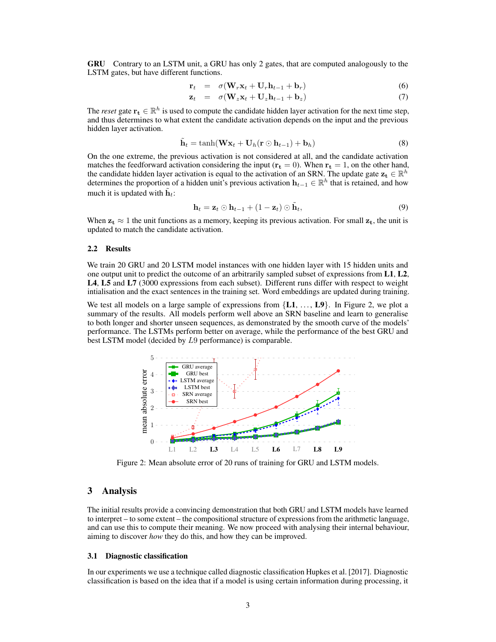GRU Contrary to an LSTM unit, a GRU has only 2 gates, that are computed analogously to the LSTM gates, but have different functions.

$$
\mathbf{r}_t = \sigma(\mathbf{W}_r \mathbf{x}_t + \mathbf{U}_r \mathbf{h}_{t-1} + \mathbf{b}_r) \tag{6}
$$

$$
\mathbf{z}_t = \sigma(\mathbf{W}_z \mathbf{x}_t + \mathbf{U}_z \mathbf{h}_{t-1} + \mathbf{b}_z) \tag{7}
$$

The *reset* gate  $\mathbf{r_t} \in \mathbb{R}^h$  is used to compute the candidate hidden layer activation for the next time step, and thus determines to what extent the candidate activation depends on the input and the previous hidden layer activation.

$$
\tilde{\mathbf{h}}_t = \tanh(\mathbf{W}\mathbf{x}_t + \mathbf{U}_h(\mathbf{r} \odot \mathbf{h}_{t-1}) + \mathbf{b}_h)
$$
\n(8)

On the one extreme, the previous activation is not considered at all, and the candidate activation matches the feedforward activation considering the input ( $\mathbf{r_t} = 0$ ). When  $\mathbf{r_t} = 1$ , on the other hand, the candidate hidden layer activation is equal to the activation of an SRN. The update gate  $z_t \in \mathbb{R}^h$ determines the proportion of a hidden unit's previous activation  $h_{t-1} \in \mathbb{R}^h$  that is retained, and how much it is updated with  $\tilde{\mathbf{h}}_t$ :

$$
\mathbf{h}_t = \mathbf{z}_t \odot \mathbf{h}_{t-1} + (1 - \mathbf{z}_t) \odot \tilde{\mathbf{h}}_t, \tag{9}
$$

When  $z_t \approx 1$  the unit functions as a memory, keeping its previous activation. For small  $z_t$ , the unit is updated to match the candidate activation.

## 2.2 Results

We train 20 GRU and 20 LSTM model instances with one hidden layer with 15 hidden units and one output unit to predict the outcome of an arbitrarily sampled subset of expressions from L1, L2, L4, L5 and L7 (3000 expressions from each subset). Different runs differ with respect to weight intialisation and the exact sentences in the training set. Word embeddings are updated during training.

We test all models on a large sample of expressions from  $\{L1, \ldots, L9\}$ . In Figure [2,](#page-2-0) we plot a summary of the results. All models perform well above an SRN baseline and learn to generalise to both longer and shorter unseen sequences, as demonstrated by the smooth curve of the models' performance. The LSTMs perform better on average, while the performance of the best GRU and best LSTM model (decided by L9 performance) is comparable.

<span id="page-2-0"></span>

Figure 2: Mean absolute error of 20 runs of training for GRU and LSTM models.

## 3 Analysis

The initial results provide a convincing demonstration that both GRU and LSTM models have learned to interpret – to some extent – the compositional structure of expressions from the arithmetic language, and can use this to compute their meaning. We now proceed with analysing their internal behaviour, aiming to discover *how* they do this, and how they can be improved.

#### 3.1 Diagnostic classification

In our experiments we use a technique called diagnostic classification [Hupkes et al.](#page-8-2) [\[2017\]](#page-8-2). Diagnostic classification is based on the idea that if a model is using certain information during processing, it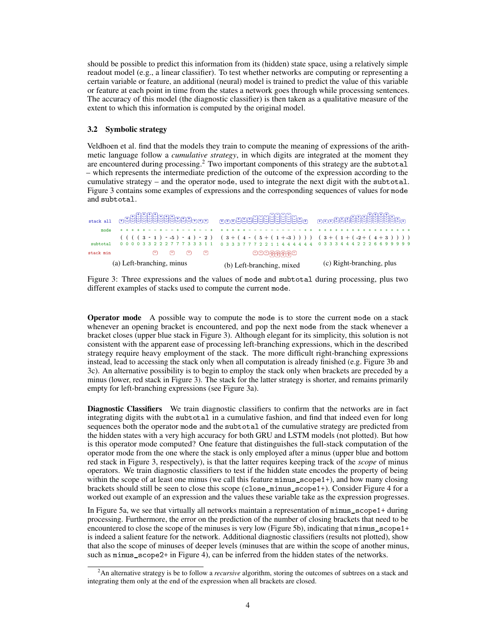should be possible to predict this information from its (hidden) state space, using a relatively simple readout model (e.g., a linear classifier). To test whether networks are computing or representing a certain variable or feature, an additional (neural) model is trained to predict the value of this variable or feature at each point in time from the states a network goes through while processing sentences. The accuracy of this model (the diagnostic classifier) is then taken as a qualitative measure of the extent to which this information is computed by the original model.

## 3.2 Symbolic strategy

Veldhoen et al. find that the models they train to compute the meaning of expressions of the arithmetic language follow a *cumulative strategy*, in which digits are integrated at the moment they are encountered during processing.<sup>[2](#page-3-0)</sup> Two important components of this strategy are the subtotal – which represents the intermediate prediction of the outcome of the expression according to the cumulative strategy – and the operator mode, used to integrate the next digit with the subtotal. Figure [3](#page-3-1) contains some examples of expressions and the corresponding sequences of values for mode and subtotal.

<span id="page-3-1"></span>

| stack all | 语语语语语语语句句句画画                                                                | - mmm 98888888888888              |                                   |
|-----------|-----------------------------------------------------------------------------|-----------------------------------|-----------------------------------|
| mode      |                                                                             | --------------------------------- |                                   |
|           | $\cdot$ ((((3 - 1) - -5) - 4) - 2) (3+(4 - (5+(1+-3))))) (3+(1+(-2+(4+3)))) |                                   |                                   |
| subtotal  | 0 0 0 0 3 3 2 2 2 7 7 7 3 3 3 1 1                                           | 03337779911444444                 | 0 3 3 3 4 4 4 2 2 2 6 6 9 9 9 9 9 |
| stack min | G<br>ıн                                                                     | 디디디픽픽픽티                           |                                   |
|           | (a) Left-branching, minus                                                   | (b) Left-branching, mixed         | (c) Right-branching, plus         |

Figure 3: Three expressions and the values of mode and subtotal during processing, plus two different examples of stacks used to compute the current mode.

Operator mode A possible way to compute the mode is to store the current mode on a stack whenever an opening bracket is encountered, and pop the next mode from the stack whenever a bracket closes (upper blue stack in Figure [3\)](#page-3-1). Although elegant for its simplicity, this solution is not consistent with the apparent ease of processing left-branching expressions, which in the described strategy require heavy employment of the stack. The more difficult right-branching expressions instead, lead to accessing the stack only when all computation is already finished (e.g. Figure [3b](#page-3-1) and [3c\)](#page-3-1). An alternative possibility is to begin to employ the stack only when brackets are preceded by a minus (lower, red stack in Figure [3\)](#page-3-1). The stack for the latter strategy is shorter, and remains primarily empty for left-branching expressions (see Figure [3a\)](#page-3-1).

Diagnostic Classifiers We train diagnostic classifiers to confirm that the networks are in fact integrating digits with the subtotal in a cumulative fashion, and find that indeed even for long sequences both the operator mode and the subtotal of the cumulative strategy are predicted from the hidden states with a very high accuracy for both GRU and LSTM models (not plotted). But how is this operator mode computed? One feature that distinguishes the full-stack computation of the operator mode from the one where the stack is only employed after a minus (upper blue and bottom red stack in Figure [3,](#page-3-1) respectively), is that the latter requires keeping track of the *scope* of minus operators. We train diagnostic classifiers to test if the hidden state encodes the property of being within the scope of at least one minus (we call this feature  $\min$ us\_scope1+), and how many closing brackets should still be seen to close this scope (close\_minus\_scope1+). Consider Figure [4](#page-4-0) for a worked out example of an expression and the values these variable take as the expression progresses.

In Figure [5a,](#page-4-1) we see that virtually all networks maintain a representation of minus\_scope1+ during processing. Furthermore, the error on the prediction of the number of closing brackets that need to be encountered to close the scope of the minuses is very low (Figure [5b\)](#page-4-1), indicating that minus\_scope1+ is indeed a salient feature for the network. Additional diagnostic classifiers (results not plotted), show that also the scope of minuses of deeper levels (minuses that are within the scope of another minus, such as minus\_scope2+ in Figure [4\)](#page-4-0), can be inferred from the hidden states of the networks.

<span id="page-3-0"></span><sup>2</sup>An alternative strategy is be to follow a *recursive* algorithm, storing the outcomes of subtrees on a stack and integrating them only at the end of the expression when all brackets are closed.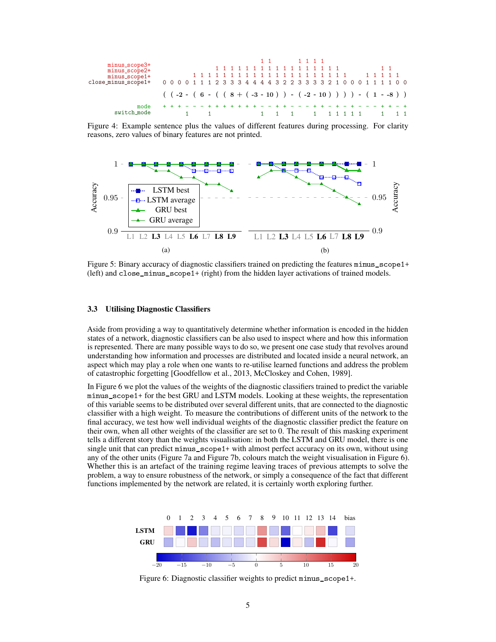<span id="page-4-0"></span>

Figure 4: Example sentence plus the values of different features during processing. For clarity reasons, zero values of binary features are not printed.

<span id="page-4-1"></span>

Figure 5: Binary accuracy of diagnostic classifiers trained on predicting the features minus\_scope1+ (left) and close\_minus\_scope1+ (right) from the hidden layer activations of trained models.

#### 3.3 Utilising Diagnostic Classifiers

Aside from providing a way to quantitatively determine whether information is encoded in the hidden states of a network, diagnostic classifiers can be also used to inspect where and how this information is represented. There are many possible ways to do so, we present one case study that revolves around understanding how information and processes are distributed and located inside a neural network, an aspect which may play a role when one wants to re-utilise learned functions and address the problem of catastrophic forgetting [\[Goodfellow et al., 2013,](#page-8-7) [McCloskey and Cohen, 1989\]](#page-8-8).

In Figure [6](#page-4-2) we plot the values of the weights of the diagnostic classifiers trained to predict the variable minus\_scope1+ for the best GRU and LSTM models. Looking at these weights, the representation of this variable seems to be distributed over several different units, that are connected to the diagnostic classifier with a high weight. To measure the contributions of different units of the network to the final accuracy, we test how well individual weights of the diagnostic classifier predict the feature on their own, when all other weights of the classifier are set to 0. The result of this masking experiment tells a different story than the weights visualisation: in both the LSTM and GRU model, there is one single unit that can predict minus\_scope1+ with almost perfect accuracy on its own, without using any of the other units (Figure [7a](#page-5-0) and Figure [7b,](#page-5-0) colours match the weight visualisation in Figure [6\)](#page-4-2). Whether this is an artefact of the training regime leaving traces of previous attempts to solve the problem, a way to ensure robustness of the network, or simply a consequence of the fact that different functions implemented by the network are related, it is certainly worth exploring further.

<span id="page-4-2"></span>

Figure 6: Diagnostic classifier weights to predict minus\_scope1+.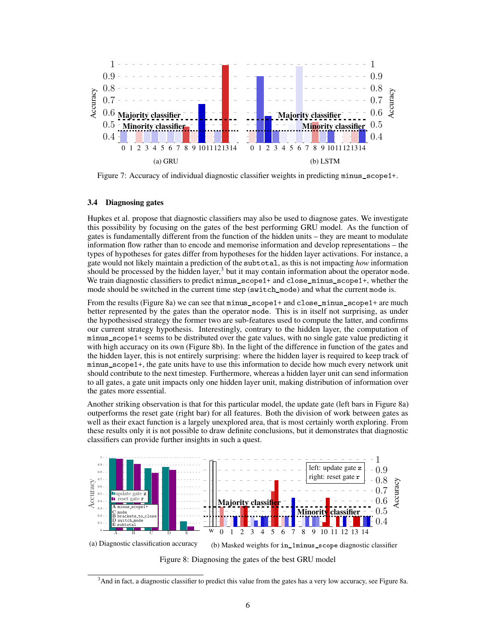<span id="page-5-0"></span>

Figure 7: Accuracy of individual diagnostic classifier weights in predicting minus\_scope1+.

#### 3.4 Diagnosing gates

[Hupkes et al.](#page-8-2) propose that diagnostic classifiers may also be used to diagnose gates. We investigate this possibility by focusing on the gates of the best performing GRU model. As the function of gates is fundamentally different from the function of the hidden units – they are meant to modulate information flow rather than to encode and memorise information and develop representations – the types of hypotheses for gates differ from hypotheses for the hidden layer activations. For instance, a gate would not likely maintain a prediction of the subtotal, as this is not impacting *how* information should be processed by the hidden layer, $3$  but it may contain information about the operator mode. We train diagnostic classifiers to predict minus\_scope1+ and close\_minus\_scope1+, whether the mode should be switched in the current time step (switch\_mode) and what the current mode is.

From the results (Figure [8a\)](#page-5-2) we can see that minus\_scope1+ and close\_minus\_scope1+ are much better represented by the gates than the operator mode. This is in itself not surprising, as under the hypothesised strategy the former two are sub-features used to compute the latter, and confirms our current strategy hypothesis. Interestingly, contrary to the hidden layer, the computation of minus scope1+ seems to be distributed over the gate values, with no single gate value predicting it with high accuracy on its own (Figure [8b\)](#page-5-2). In the light of the difference in function of the gates and the hidden layer, this is not entirely surprising: where the hidden layer is required to keep track of minus\_scope1+, the gate units have to use this information to decide how much every network unit should contribute to the next timestep. Furthermore, whereas a hidden layer unit can send information to all gates, a gate unit impacts only one hidden layer unit, making distribution of information over the gates more essential.

Another striking observation is that for this particular model, the update gate (left bars in Figure [8a\)](#page-5-2) outperforms the reset gate (right bar) for all features. Both the division of work between gates as well as their exact function is a largely unexplored area, that is most certainly worth exploring. From these results only it is not possible to draw definite conclusions, but it demonstrates that diagnostic classifiers can provide further insights in such a quest.

<span id="page-5-2"></span>

(a) Diagnostic classification accuracy (b) Masked weights for in\_1minus\_scope diagnostic classifier Figure 8: Diagnosing the gates of the best GRU model

<span id="page-5-1"></span><sup>&</sup>lt;sup>3</sup>And in fact, a diagnostic classifier to predict this value from the gates has a very low accuracy, see Figure [8a.](#page-5-2)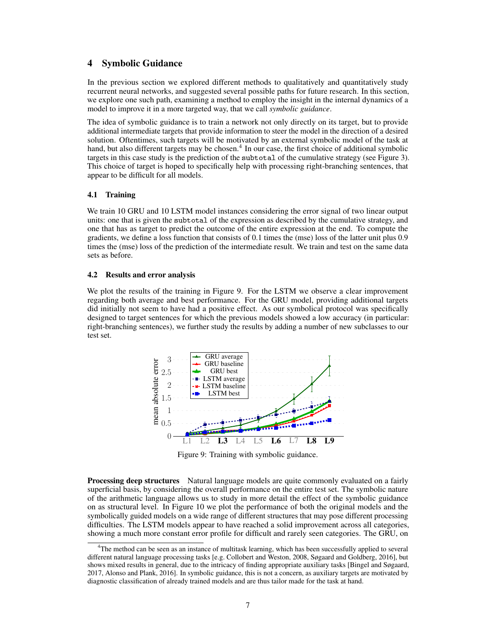## 4 Symbolic Guidance

In the previous section we explored different methods to qualitatively and quantitatively study recurrent neural networks, and suggested several possible paths for future research. In this section, we explore one such path, examining a method to employ the insight in the internal dynamics of a model to improve it in a more targeted way, that we call *symbolic guidance*.

The idea of symbolic guidance is to train a network not only directly on its target, but to provide additional intermediate targets that provide information to steer the model in the direction of a desired solution. Oftentimes, such targets will be motivated by an external symbolic model of the task at hand, but also different targets may be chosen.<sup>[4](#page-6-0)</sup> In our case, the first choice of additional symbolic targets in this case study is the prediction of the subtotal of the cumulative strategy (see Figure [3\)](#page-3-1). This choice of target is hoped to specifically help with processing right-branching sentences, that appear to be difficult for all models.

#### 4.1 Training

We train 10 GRU and 10 LSTM model instances considering the error signal of two linear output units: one that is given the subtotal of the expression as described by the cumulative strategy, and one that has as target to predict the outcome of the entire expression at the end. To compute the gradients, we define a loss function that consists of 0.1 times the (mse) loss of the latter unit plus 0.9 times the (mse) loss of the prediction of the intermediate result. We train and test on the same data sets as before.

#### 4.2 Results and error analysis

<span id="page-6-1"></span>We plot the results of the training in Figure [9.](#page-6-1) For the LSTM we observe a clear improvement regarding both average and best performance. For the GRU model, providing additional targets did initially not seem to have had a positive effect. As our symbolical protocol was specifically designed to target sentences for which the previous models showed a low accuracy (in particular: right-branching sentences), we further study the results by adding a number of new subclasses to our test set.



Figure 9: Training with symbolic guidance.

Processing deep structures Natural language models are quite commonly evaluated on a fairly superficial basis, by considering the overall performance on the entire test set. The symbolic nature of the arithmetic language allows us to study in more detail the effect of the symbolic guidance on as structural level. In Figure [10](#page-7-0) we plot the performance of both the original models and the symbolically guided models on a wide range of different structures that may pose different processing difficulties. The LSTM models appear to have reached a solid improvement across all categories, showing a much more constant error profile for difficult and rarely seen categories. The GRU, on

<span id="page-6-0"></span><sup>4</sup>The method can be seen as an instance of multitask learning, which has been successfully applied to several different natural language processing tasks [e.g. [Collobert and Weston, 2008,](#page-8-9) [Søgaard and Goldberg, 2016\]](#page-8-10), but shows mixed results in general, due to the intricacy of finding appropriate auxiliary tasks [\[Bingel and Søgaard,](#page-8-11) [2017,](#page-8-11) [Alonso and Plank, 2016\]](#page-8-12). In symbolic guidance, this is not a concern, as auxiliary targets are motivated by diagnostic classification of already trained models and are thus tailor made for the task at hand.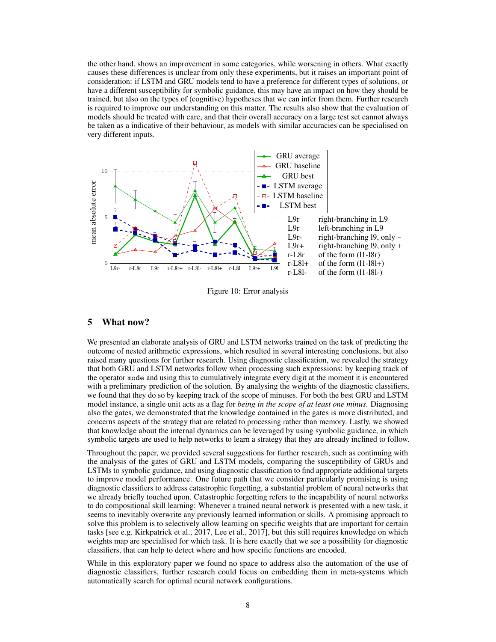the other hand, shows an improvement in some categories, while worsening in others. What exactly causes these differences is unclear from only these experiments, but it raises an important point of consideration: if LSTM and GRU models tend to have a preference for different types of solutions, or have a different susceptibility for symbolic guidance, this may have an impact on how they should be trained, but also on the types of (cognitive) hypotheses that we can infer from them. Further research is required to improve our understanding on this matter. The results also show that the evaluation of models should be treated with care, and that their overall accuracy on a large test set cannot always be taken as a indicative of their behaviour, as models with similar accuracies can be specialised on very different inputs.

<span id="page-7-0"></span>

Figure 10: Error analysis

## 5 What now?

We presented an elaborate analysis of GRU and LSTM networks trained on the task of predicting the outcome of nested arithmetic expressions, which resulted in several interesting conclusions, but also raised many questions for further research. Using diagnostic classification, we revealed the strategy that both GRU and LSTM networks follow when processing such expressions: by keeping track of the operator mode and using this to cumulatively integrate every digit at the moment it is encountered with a preliminary prediction of the solution. By analysing the weights of the diagnostic classifiers, we found that they do so by keeping track of the scope of minuses. For both the best GRU and LSTM model instance, a single unit acts as a flag for *being in the scope of at least one minus*. Diagnosing also the gates, we demonstrated that the knowledge contained in the gates is more distributed, and concerns aspects of the strategy that are related to processing rather than memory. Lastly, we showed that knowledge about the internal dynamics can be leveraged by using symbolic guidance, in which symbolic targets are used to help networks to learn a strategy that they are already inclined to follow.

Throughout the paper, we provided several suggestions for further research, such as continuing with the analysis of the gates of GRU and LSTM models, comparing the susceptibility of GRUs and LSTMs to symbolic guidance, and using diagnostic classification to find appropriate additional targets to improve model performance. One future path that we consider particularly promising is using diagnostic classifiers to address catastrophic forgetting, a substantial problem of neural networks that we already briefly touched upon. Catastrophic forgetting refers to the incapability of neural networks to do compositional skill learning: Whenever a trained neural network is presented with a new task, it seems to inevitably overwrite any previously learned information or skills. A promising approach to solve this problem is to selectively allow learning on specific weights that are important for certain tasks [see e.g. [Kirkpatrick et al., 2017,](#page-8-13) [Lee et al., 2017\]](#page-8-14), but this still requires knowledge on which weights map are specialised for which task. It is here exactly that we see a possibility for diagnostic classifiers, that can help to detect where and how specific functions are encoded.

While in this exploratory paper we found no space to address also the automation of the use of diagnostic classifiers, further research could focus on embedding them in meta-systems which automatically search for optimal neural network configurations.